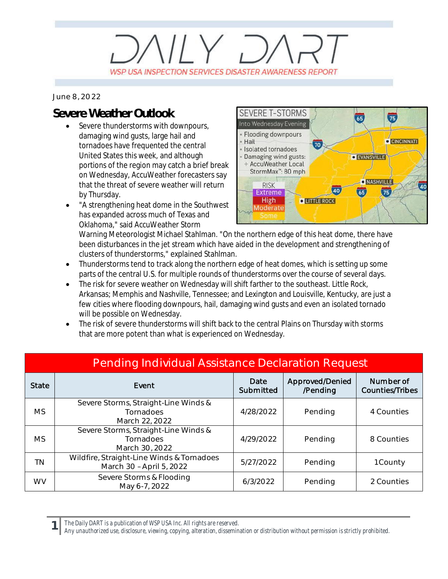## $J/Y$ ,  $D$ WSP USA INSPECTION SERVICES DISASTER AWARENESS REPORT

*June 8, 2022*

## **Severe Weather Outlook**

- Severe thunderstorms with downpours, damaging wind gusts, large hail and tornadoes have frequented the central United States this week, and although portions of the region may catch a brief break on Wednesday, AccuWeather forecasters say that the threat of severe weather will return by Thursday.
- · "A strengthening heat dome in the Southwest has expanded across much of Texas and Oklahoma," said AccuWeather Storm



Warning Meteorologist Michael Stahlman. "On the northern edge of this heat dome, there have been disturbances in the jet stream which have aided in the development and strengthening of clusters of thunderstorms," explained Stahlman.

- Thunderstorms tend to track along the northern edge of heat domes, which is setting up some parts of the central U.S. for multiple rounds of thunderstorms over the course of several days.
- The risk for severe weather on Wednesday will shift farther to the southeast. Little Rock, Arkansas; Memphis and Nashville, Tennessee; and Lexington and Louisville, Kentucky, are just a few cities where flooding downpours, hail, damaging wind gusts and even an isolated tornado will be possible on Wednesday.
- The risk of severe thunderstorms will shift back to the central Plains on Thursday with storms that are more potent than what is experienced on Wednesday.

| <b>Pending Individual Assistance Declaration Request</b> |                                                                       |                   |                             |                                     |
|----------------------------------------------------------|-----------------------------------------------------------------------|-------------------|-----------------------------|-------------------------------------|
| <b>State</b>                                             | Event                                                                 | Date<br>Submitted | Approved/Denied<br>/Pending | Number of<br><b>Counties/Tribes</b> |
| <b>MS</b>                                                | Severe Storms, Straight-Line Winds &<br>Tornadoes<br>March 22, 2022   | 4/28/2022         | Pending                     | 4 Counties                          |
| <b>MS</b>                                                | Severe Storms, Straight-Line Winds &<br>Tornadoes<br>March 30, 2022   | 4/29/2022         | Pending                     | 8 Counties                          |
| ΤN                                                       | Wildfire, Straight-Line Winds & Tornadoes<br>March 30 - April 5, 2022 | 5/27/2022         | Pending                     | 1 County                            |
| <b>WV</b>                                                | Severe Storms & Flooding<br>May 6-7, 2022                             | 6/3/2022          | Pending                     | 2 Counties                          |

*The Daily DART is a publication of WSP USA Inc. All rights are reserved.*

**1**

*Any unauthorized use, disclosure, viewing, copying, alteration, dissemination or distribution without permission is strictly prohibited.*